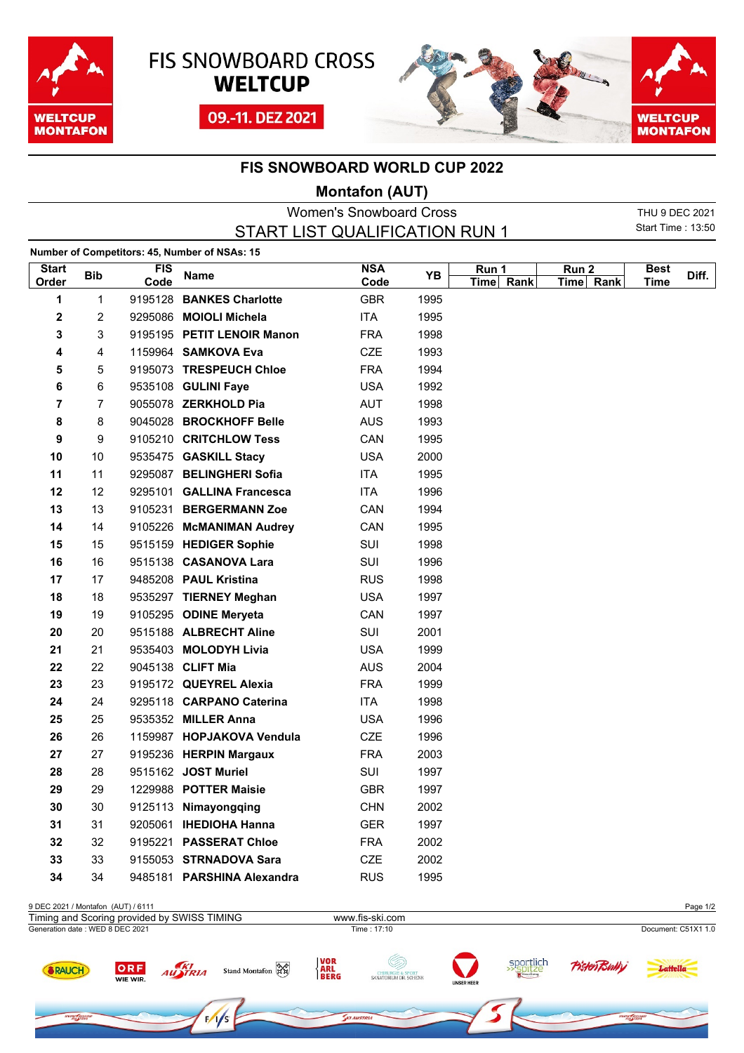





## **FIS SNOWBOARD WORLD CUP 2022**

## **Montafon (AUT)**

|                                |                                |            |                                               | M          |      |                     |                  |             |                |  |  |
|--------------------------------|--------------------------------|------------|-----------------------------------------------|------------|------|---------------------|------------------|-------------|----------------|--|--|
| <b>Women's Snowboard Cross</b> |                                |            |                                               |            |      |                     |                  |             | THU 9 DEC 2021 |  |  |
|                                | START LIST QUALIFICATION RUN 1 |            |                                               |            |      |                     |                  |             |                |  |  |
|                                |                                |            | Number of Competitors: 45, Number of NSAs: 15 |            |      |                     |                  |             |                |  |  |
| <b>Start</b>                   |                                | <b>FIS</b> |                                               | <b>NSA</b> |      | Run 1               | Run <sub>2</sub> | <b>Best</b> |                |  |  |
| Order                          | <b>Bib</b>                     | Code       | Name                                          | Code       | YB   | Rank<br><b>Time</b> | Time Rank        | Time        | Diff.          |  |  |
| 1                              | 1                              |            | 9195128 BANKES Charlotte                      | <b>GBR</b> | 1995 |                     |                  |             |                |  |  |
| 2                              | 2                              |            | 9295086 MOIOLI Michela                        | ITA        | 1995 |                     |                  |             |                |  |  |
| 3                              | 3                              |            | 9195195 PETIT LENOIR Manon                    | <b>FRA</b> | 1998 |                     |                  |             |                |  |  |
| 4                              | 4                              |            | 1159964 SAMKOVA Eva                           | <b>CZE</b> | 1993 |                     |                  |             |                |  |  |
| 5                              | 5                              |            | 9195073 TRESPEUCH Chloe                       | <b>FRA</b> | 1994 |                     |                  |             |                |  |  |
| 6                              | 6                              |            | 9535108 GULINI Faye                           | <b>USA</b> | 1992 |                     |                  |             |                |  |  |
| 7                              | 7                              |            | 9055078 ZERKHOLD Pia                          | AUT        | 1998 |                     |                  |             |                |  |  |
| 8                              | 8                              |            | 9045028 BROCKHOFF Belle                       | <b>AUS</b> | 1993 |                     |                  |             |                |  |  |
| 9                              | 9                              |            | 9105210 CRITCHLOW Tess                        | CAN        | 1995 |                     |                  |             |                |  |  |
| 10                             | 10                             |            | 9535475 GASKILL Stacy                         | <b>USA</b> | 2000 |                     |                  |             |                |  |  |
| 11                             | 11                             |            | 9295087 BELINGHERI Sofia                      | <b>ITA</b> | 1995 |                     |                  |             |                |  |  |
| 12                             | 12                             |            | 9295101 GALLINA Francesca                     | ITA        | 1996 |                     |                  |             |                |  |  |
| 13                             | 13                             |            | 9105231 BERGERMANN Zoe                        | CAN        | 1994 |                     |                  |             |                |  |  |
| 14                             | 14                             |            | 9105226 McMANIMAN Audrey                      | CAN        | 1995 |                     |                  |             |                |  |  |
| 15                             | 15                             |            | 9515159 HEDIGER Sophie                        | SUI        | 1998 |                     |                  |             |                |  |  |
| 16                             | 16                             |            | 9515138 CASANOVA Lara                         | SUI        | 1996 |                     |                  |             |                |  |  |
| 17                             | 17                             |            | 9485208 PAUL Kristina                         | <b>RUS</b> | 1998 |                     |                  |             |                |  |  |
| 18                             | 18                             |            | 9535297 TIERNEY Meghan                        | <b>USA</b> | 1997 |                     |                  |             |                |  |  |
| 19                             | 19                             |            | 9105295 ODINE Meryeta                         | CAN        | 1997 |                     |                  |             |                |  |  |
| 20                             | 20                             |            | 9515188 ALBRECHT Aline                        | SUI        | 2001 |                     |                  |             |                |  |  |
| 21                             | 21                             |            | 9535403 MOLODYH Livia                         | <b>USA</b> | 1999 |                     |                  |             |                |  |  |
| 22                             | 22                             |            | 9045138 CLIFT Mia                             | <b>AUS</b> | 2004 |                     |                  |             |                |  |  |
| 23                             | 23                             |            | 9195172 QUEYREL Alexia                        | <b>FRA</b> | 1999 |                     |                  |             |                |  |  |
| 24                             | 24                             |            | 9295118 CARPANO Caterina                      | ITA        | 1998 |                     |                  |             |                |  |  |
| 25                             | 25                             |            | 9535352 MILLER Anna                           | <b>USA</b> | 1996 |                     |                  |             |                |  |  |
| 26                             | 26                             |            | 1159987 HOPJAKOVA Vendula                     | <b>CZE</b> | 1996 |                     |                  |             |                |  |  |
| 27                             | 27                             |            | 9195236 HERPIN Margaux                        | <b>FRA</b> | 2003 |                     |                  |             |                |  |  |
| 28                             | 28                             |            | 9515162 JOST Muriel                           | SUI        | 1997 |                     |                  |             |                |  |  |
| 29                             | 29                             |            | 1229988 POTTER Maisie                         | <b>GBR</b> | 1997 |                     |                  |             |                |  |  |
| 30                             | 30                             |            | 9125113 Nimayongqing                          | <b>CHN</b> | 2002 |                     |                  |             |                |  |  |
| 31                             | 31                             |            | 9205061 IHEDIOHA Hanna                        | <b>GER</b> | 1997 |                     |                  |             |                |  |  |
| 32                             | 32                             |            | 9195221 PASSERAT Chloe                        | <b>FRA</b> | 2002 |                     |                  |             |                |  |  |
| 33                             | 33                             |            | 9155053 STRNADOVA Sara                        | CZE        | 2002 |                     |                  |             |                |  |  |



34 9485181 **PARSHINA Alexandra** RUS 1995